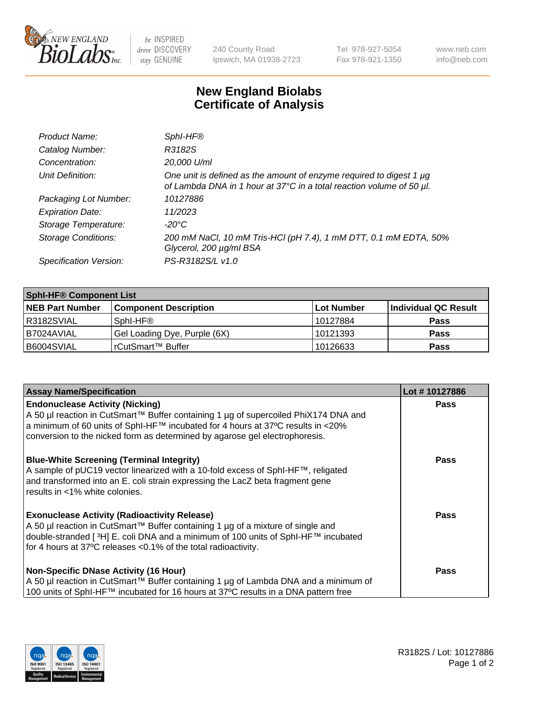

 $be$  INSPIRED drive DISCOVERY stay GENUINE

240 County Road Ipswich, MA 01938-2723 Tel 978-927-5054 Fax 978-921-1350 www.neb.com info@neb.com

## **New England Biolabs Certificate of Analysis**

| Product Name:           | SphI-HF®                                                                                                                                         |
|-------------------------|--------------------------------------------------------------------------------------------------------------------------------------------------|
| Catalog Number:         | R3182S                                                                                                                                           |
| Concentration:          | 20,000 U/ml                                                                                                                                      |
| Unit Definition:        | One unit is defined as the amount of enzyme required to digest 1 $\mu$ g<br>of Lambda DNA in 1 hour at 37°C in a total reaction volume of 50 µl. |
| Packaging Lot Number:   | 10127886                                                                                                                                         |
| <b>Expiration Date:</b> | 11/2023                                                                                                                                          |
| Storage Temperature:    | $-20^{\circ}$ C                                                                                                                                  |
| Storage Conditions:     | 200 mM NaCl, 10 mM Tris-HCl (pH 7.4), 1 mM DTT, 0.1 mM EDTA, 50%<br>Glycerol, 200 µg/ml BSA                                                      |
| Specification Version:  | PS-R3182S/L v1.0                                                                                                                                 |

| <b>Sphl-HF® Component List</b> |                              |            |                      |  |  |
|--------------------------------|------------------------------|------------|----------------------|--|--|
| <b>NEB Part Number</b>         | <b>Component Description</b> | Lot Number | Individual QC Result |  |  |
| R3182SVIAL                     | Sphl-HF®                     | 10127884   | <b>Pass</b>          |  |  |
| B7024AVIAL                     | Gel Loading Dye, Purple (6X) | 10121393   | <b>Pass</b>          |  |  |
| B6004SVIAL                     | rCutSmart™ Buffer            | 10126633   | <b>Pass</b>          |  |  |

| <b>Assay Name/Specification</b>                                                                                                                                                                                                                                                                 | Lot #10127886 |
|-------------------------------------------------------------------------------------------------------------------------------------------------------------------------------------------------------------------------------------------------------------------------------------------------|---------------|
| <b>Endonuclease Activity (Nicking)</b><br>  A 50 µl reaction in CutSmart™ Buffer containing 1 µg of supercoiled PhiX174 DNA and                                                                                                                                                                 | <b>Pass</b>   |
| a minimum of 60 units of SphI-HF™ incubated for 4 hours at 37°C results in <20%<br>conversion to the nicked form as determined by agarose gel electrophoresis.                                                                                                                                  |               |
| <b>Blue-White Screening (Terminal Integrity)</b><br>A sample of pUC19 vector linearized with a 10-fold excess of SphI-HF™, religated<br>and transformed into an E. coli strain expressing the LacZ beta fragment gene<br>results in <1% white colonies.                                         | <b>Pass</b>   |
| <b>Exonuclease Activity (Radioactivity Release)</b><br>  A 50 µl reaction in CutSmart™ Buffer containing 1 µg of a mixture of single and<br>double-stranded [3H] E. coli DNA and a minimum of 100 units of Sphl-HF™ incubated<br>for 4 hours at 37°C releases <0.1% of the total radioactivity. | Pass          |
| <b>Non-Specific DNase Activity (16 Hour)</b>                                                                                                                                                                                                                                                    | <b>Pass</b>   |
| A 50 µl reaction in CutSmart™ Buffer containing 1 µg of Lambda DNA and a minimum of                                                                                                                                                                                                             |               |
| 100 units of SphI-HF™ incubated for 16 hours at 37°C results in a DNA pattern free                                                                                                                                                                                                              |               |